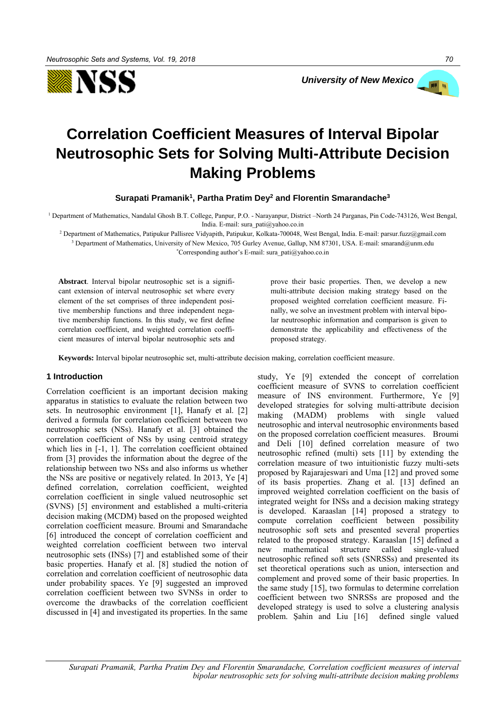



# **Correlation Coefficient Measures of Interval Bipolar Neutrosophic Sets for Solving Multi-Attribute Decision Making Problems**

**Surapati Pramanik<sup>1</sup> , Partha Pratim Dey<sup>2</sup> and Florentin Smarandache<sup>3</sup>**

<sup>1</sup> Department of Mathematics, Nandalal Ghosh B.T. College, Panpur, P.O. - Narayanpur, District –North 24 Parganas, Pin Code-743126, West Bengal, India. E-mail: sura\_pati@yahoo.co.in

<sup>2</sup> Department of Mathematics, Patipukur Pallisree Vidyapith, Patipukur, Kolkata-700048, West Bengal, India. E-mail: parsur.fuzz@gmail.com <sup>3</sup> Department of Mathematics, University of New Mexico, 705 Gurley Avenue, Gallup, NM 87301, USA. E-mail: smarand@unm.edu

\*Corresponding author's E-mail: sura\_pati@yahoo.co.in

**Abstract**. Interval bipolar neutrosophic set is a significant extension of interval neutrosophic set where every element of the set comprises of three independent positive membership functions and three independent negative membership functions. In this study, we first define correlation coefficient, and weighted correlation coefficient measures of interval bipolar neutrosophic sets and prove their basic properties. Then, we develop a new multi-attribute decision making strategy based on the proposed weighted correlation coefficient measure. Finally, we solve an investment problem with interval bipolar neutrosophic information and comparison is given to demonstrate the applicability and effectiveness of the proposed strategy.

**Keywords:** Interval bipolar neutrosophic set, multi-attribute decision making, correlation coefficient measure.

# **1 Introduction**

Correlation coefficient is an important decision making apparatus in statistics to evaluate the relation between two sets. In neutrosophic environment [1], Hanafy et al. [2] derived a formula for correlation coefficient between two neutrosophic sets (NSs). Hanafy et al. [3] obtained the correlation coefficient of NSs by using centroid strategy which lies in [-1, 1]. The correlation coefficient obtained from [3] provides the information about the degree of the relationship between two NSs and also informs us whether the NSs are positive or negatively related. In 2013, Ye [4] defined correlation, correlation coefficient, weighted correlation coefficient in single valued neutrosophic set (SVNS) [5] environment and established a multi-criteria decision making (MCDM) based on the proposed weighted correlation coefficient measure. Broumi and Smarandache [6] introduced the concept of correlation coefficient and weighted correlation coefficient between two interval neutrosophic sets (INSs) [7] and established some of their basic properties. Hanafy et al. [8] studied the notion of correlation and correlation coefficient of neutrosophic data under probability spaces. Ye [9] suggested an improved correlation coefficient between two SVNSs in order to overcome the drawbacks of the correlation coefficient discussed in [4] and investigated its properties. In the same study, Ye [9] extended the concept of correlation coefficient measure of SVNS to correlation coefficient measure of INS environment. Furthermore, Ye [9] developed strategies for solving multi-attribute decision making (MADM) problems with single valued neutrosophic and interval neutrosophic environments based on the proposed correlation coefficient measures. Broumi and Deli [10] defined correlation measure of two neutrosophic refined (multi) sets [11] by extending the correlation measure of two intuitionistic fuzzy multi-sets proposed by Rajarajeswari and Uma [12] and proved some of its basis properties. Zhang et al. [13] defined an improved weighted correlation coefficient on the basis of integrated weight for INSs and a decision making strategy is developed. Karaaslan [14] proposed a strategy to compute correlation coefficient between possibility neutrosophic soft sets and presented several properties related to the proposed strategy. Karaaslan [15] defined a new mathematical structure called single-valued neutrosophic refined soft sets (SNRSSs) and presented its set theoretical operations such as union, intersection and complement and proved some of their basic properties. In the same study [15], two formulas to determine correlation coefficient between two SNRSSs are proposed and the developed strategy is used to solve a clustering analysis problem. Şahin and Liu [16] defined single valued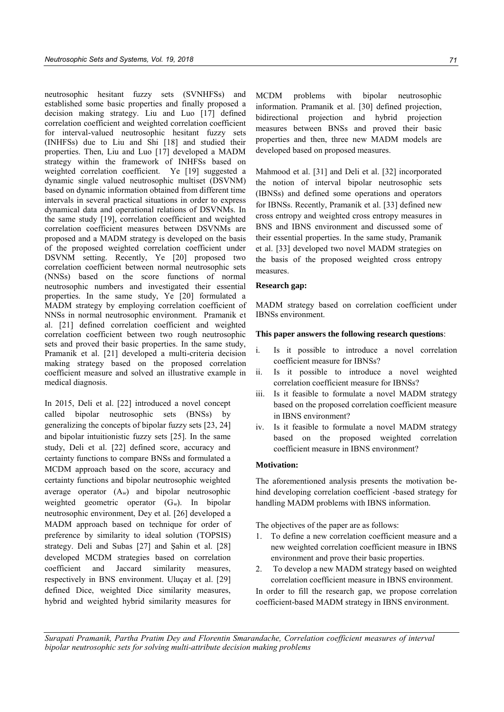neutrosophic hesitant fuzzy sets (SVNHFSs) and established some basic properties and finally proposed a decision making strategy. Liu and Luo [17] defined correlation coefficient and weighted correlation coefficient for interval-valued neutrosophic hesitant fuzzy sets (INHFSs) due to Liu and Shi [18] and studied their properties. Then, Liu and Luo [17] developed a MADM strategy within the framework of INHFSs based on weighted correlation coefficient. Ye [19] suggested a dynamic single valued neutrosophic multiset (DSVNM) based on dynamic information obtained from different time intervals in several practical situations in order to express dynamical data and operational relations of DSVNMs. In the same study [19], correlation coefficient and weighted correlation coefficient measures between DSVNMs are proposed and a MADM strategy is developed on the basis of the proposed weighted correlation coefficient under DSVNM setting. Recently, Ye [20] proposed two correlation coefficient between normal neutrosophic sets (NNSs) based on the score functions of normal neutrosophic numbers and investigated their essential properties. In the same study, Ye [20] formulated a MADM strategy by employing correlation coefficient of NNSs in normal neutrosophic environment. Pramanik et al. [21] defined correlation coefficient and weighted correlation coefficient between two rough neutrosophic sets and proved their basic properties. In the same study, Pramanik et al. [21] developed a multi-criteria decision making strategy based on the proposed correlation coefficient measure and solved an illustrative example in medical diagnosis.

In 2015, Deli et al. [22] introduced a novel concept called bipolar neutrosophic sets (BNSs) by generalizing the concepts of bipolar fuzzy sets [23, 24] and bipolar intuitionistic fuzzy sets [25]. In the same study, Deli et al. [22] defined score, accuracy and certainty functions to compare BNSs and formulated a MCDM approach based on the score, accuracy and certainty functions and bipolar neutrosophic weighted average operator  $(A_w)$  and bipolar neutrosophic weighted geometric operator (G*w*). In bipolar neutrosophic environment, Dey et al. [26] developed a MADM approach based on technique for order of preference by similarity to ideal solution (TOPSIS) strategy. Deli and Subas [27] and Şahin et al. [28] developed MCDM strategies based on correlation coefficient and Jaccard similarity measures, respectively in BNS environment. Uluçay et al. [29] defined Dice, weighted Dice similarity measures, hybrid and weighted hybrid similarity measures for MCDM problems with bipolar neutrosophic information. Pramanik et al. [30] defined projection, bidirectional projection and hybrid projection measures between BNSs and proved their basic properties and then, three new MADM models are developed based on proposed measures.

Mahmood et al. [31] and Deli et al. [32] incorporated the notion of interval bipolar neutrosophic sets (IBNSs) and defined some operations and operators for IBNSs. Recently, Pramanik et al. [33] defined new cross entropy and weighted cross entropy measures in BNS and IBNS environment and discussed some of their essential properties. In the same study, Pramanik et al. [33] developed two novel MADM strategies on the basis of the proposed weighted cross entropy measures.

## **Research gap:**

MADM strategy based on correlation coefficient under IBNSs environment.

## **This paper answers the following research questions**:

- i. Is it possible to introduce a novel correlation coefficient measure for IBNSs?
- ii. Is it possible to introduce a novel weighted correlation coefficient measure for IBNSs?
- iii. Is it feasible to formulate a novel MADM strategy based on the proposed correlation coefficient measure in IBNS environment?
- iv. Is it feasible to formulate a novel MADM strategy based on the proposed weighted correlation coefficient measure in IBNS environment?

# **Motivation:**

The aforementioned analysis presents the motivation behind developing correlation coefficient -based strategy for handling MADM problems with IBNS information.

The objectives of the paper are as follows:

- 1. To define a new correlation coefficient measure and a new weighted correlation coefficient measure in IBNS environment and prove their basic properties.
- 2. To develop a new MADM strategy based on weighted correlation coefficient measure in IBNS environment.

In order to fill the research gap, we propose correlation coefficient-based MADM strategy in IBNS environment.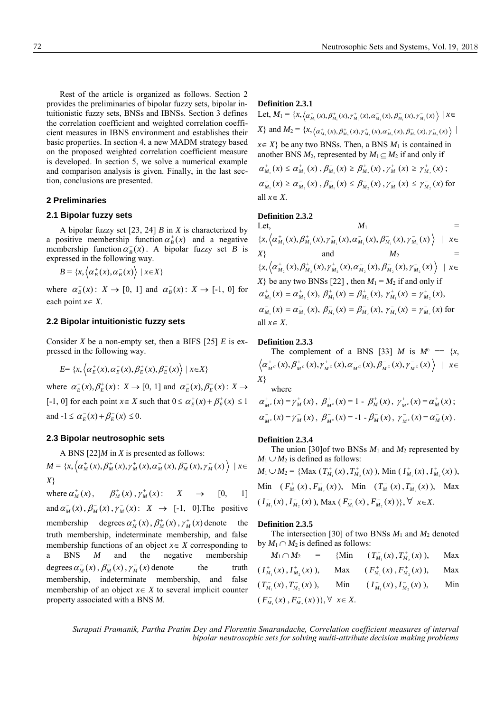Rest of the article is organized as follows. Section 2 provides the preliminaries of bipolar fuzzy sets, bipolar intuitionistic fuzzy sets, BNSs and IBNSs. Section 3 defines the correlation coefficient and weighted correlation coefficient measures in IBNS environment and establishes their basic properties. In section 4, a new MADM strategy based on the proposed weighted correlation coefficient measure is developed. In section 5, we solve a numerical example and comparison analysis is given. Finally, in the last section, conclusions are presented.

## **2 Preliminaries**

## **2.1 Bipolar fuzzy sets**

A bipolar fuzzy set [23, 24] *B* in *X* is characterized by a positive membership function  $\alpha_B^+(x)$  and a negative membership function  $\alpha_B^-(x)$ . A bipolar fuzzy set *B* is expressed in the following way.

 $B = \{x, \left\langle \alpha_B^+(x), \alpha_B^-(x) \right\rangle \mid x \in X\}$ 

where  $\alpha_B^+(x)$ :  $X \to [0, 1]$  and  $\alpha_B^-(x)$ :  $X \to [-1, 0]$  for each point  $x \in X$ .

## **2.2 Bipolar intuitionistic fuzzy sets**

Consider *X* be a non-empty set, then a BIFS [25] *E* is expressed in the following way.

$$
E = \{x, \left\langle \alpha_E^+(x), \alpha_E^-(x), \beta_E^+(x), \beta_E^-(x) \right\rangle \mid x \in X\}
$$

where  $\alpha_E^+(x), \beta_E^+(x)$ :  $X \to [0, 1]$  and  $\alpha_E^-(x), \beta_E^-(x)$ :  $X \to$ [-1, 0] for each point  $x \in X$  such that  $0 \le \alpha_E^+(x) + \beta_E^+(x) \le 1$ and  $-1 \le \alpha_E^-(x) + \beta_E^-(x) \le 0$ .

# **2.3 Bipolar neutrosophic sets**

A BNS [22]*M* in *X* is presented as follows:

$$
M = \{x, \left\langle \alpha_M^+(x), \beta_M^+(x), \gamma_M^+(x), \alpha_M^-(x), \beta_M^-(x), \gamma_M^-(x) \right\rangle \mid x \in X\}
$$

where  $\alpha_M^+(x)$ ,  $\beta_M^+(x)$ ,  $\gamma_M^+(x)$ :  $X \rightarrow [0, 1]$ and  $\alpha_M^-(x)$ ,  $\beta_M^-(x)$ ,  $\gamma_M^-(x)$ :  $X \rightarrow [-1, 0]$ . The positive membership degrees  $\alpha_M^+(x)$ ,  $\beta_M^+(x)$ ,  $\gamma_M^+(x)$  denote the truth membership, indeterminate membership, and false membership functions of an object  $x \in X$  corresponding to a BNS *M* and the negative membership degrees  $\alpha_M^-(x)$ ,  $\beta_M^-(x)$ ,  $\gamma_M^-(x)$  denote the truth membership, indeterminate membership, and false membership of an object  $x \in X$  to several implicit counter property associated with a BNS *M*.

# **Definition 2.3.1**

 $\text{Let, } M_1 = \{x, \left\langle \alpha_{M_1}^+(x), \beta_{M_1}^+(x), \gamma_{M_1}^+(x), \alpha_{M_1}^-(x), \beta_{M_1}^-(x), \gamma_{M_1}^-(x) \right\rangle \mid x \in$  $X$ } and  $M_2 = \{x, \langle \alpha^+_{M_2}(x), \beta^+_{M_2}(x), \gamma^+_{M_2}(x), \alpha^-_{M_2}(x), \beta^-_{M_2}(x), \gamma^-_{M_2}(x)\}$  $\overline{\phantom{a}}$  $x \in X$ } be any two BNSs. Then, a BNS  $M_1$  is contained in another BNS  $M_2$ , represented by  $M_1 \subseteq M_2$  if and only if  $\alpha^+_{M_1}(x) \leq \alpha^+_{M_2}(x)$ ,  $\beta^+_{M_1}(x) \geq \beta^+_{M_2}(x)$ ,  $\gamma^+_{M_1}(x) \geq \gamma^+_{M_2}(x)$ ;  $\alpha_{M_1}^-(x) \ge \alpha_{M_2}^-(x)$ ,  $\beta_{M_1}^-(x) \le \beta_{M_2}^-(x)$ ,  $\gamma_{M_1}^-(x) \le \gamma_{M_2}^-(x)$  for all  $x \in X$ .

# **Definition 2.3.2**

Let,  $M_1$  =  $\{x, \left\langle \alpha_{M_1}^+(x), \beta_{M_1}^+(x), \gamma_{M_1}^+(x), \alpha_{M_1}^-(x), \beta_{M_1}^-(x), \gamma_{M_1}^-(x) \right\} \quad | \quad x \in$  $X$ } and  $M_2$  =  $\{x, \left\langle \alpha_{M_2}^+(x), \beta_{M_2}^+(x), \gamma_{M_2}^+(x), \alpha_{M_2}^-(x), \beta_{M_2}^-(x), \gamma_{M_2}^-(x) \right\} \; | \; x \in$  $X$ } be any two BNSs [22], then  $M_1 = M_2$  if and only if  $\alpha_{M_1}^+(x) = \alpha_{M_2}^+(x), \ \beta_{M_1}^+(x) = \beta_{M_2}^+(x), \ \gamma_{M_1}^+(x) = \gamma_{M_2}^+(x),$  $\alpha_{M_1}^-(x) = \alpha_{M_2}^-(x), \ \beta_{M_1}^-(x) = \beta_{M_2}^-(x), \ \gamma_{M_1}^-(x) = \gamma_{M_2}^-(x)$  for all  $x \in X$ .

#### **Definition 2.3.3**

The complement of a BNS [33] *M* is  $M^c = \{x,$  $\left\langle \alpha_{_{M^{\,C}}}^{+}(x),\beta_{_{M^{\,C}}}^{+}(x),\gamma_{_{M^{\,C}}}^{+}(x),\alpha_{_{M^{\,C}}}^{-}(x),\beta_{_{M^{\,C}}}^{-}(x),\gamma_{_{M^{\,C}}}^{-}(x)\right\rangle \ \ \vert \ \ x\in \mathbb{R}^{+}$ *X*}

where

$$
\alpha_{M^c}^+(x) = \gamma_M^+(x), \ \beta_{M^c}^+(x) = 1 - \beta_M^+(x), \ \gamma_{M^c}^+(x) = \alpha_M^+(x);
$$
  

$$
\alpha_{M^c}^-(x) = \gamma_M^-(x), \ \beta_{M^c}^-(x) = -1 - \beta_M^-(x), \ \gamma_{M^c}^-(x) = \alpha_M^-(x).
$$

#### **Definition 2.3.4**

The union [30]of two BNSs  $M_1$  and  $M_2$  represented by  $M_1 \cup M_2$  is defined as follows:

 $M_1 \cup M_2 = \{ \text{Max } (T^+_{M_1}(x), T^+_{M_2}(x)), \text{Min } (T^+_{M_1}(x), T^+_{M_2}(x)),$ Min  $(F_{M_1}^+(x), F_{M_2}^+(x))$ , Min  $(T_{M_1}^-(x), T_{M_2}^-(x))$ , Max  $(I_{M_1}^-(x), I_{M_2}^-(x)),$  Max  $(F_{M_1}^-(x), F_{M_2}^-(x))\}, \forall x \in X$ .

#### **Definition 2.3.5**

The intersection [30] of two BNSs *M*<sup>1</sup> and *M*<sup>2</sup> denoted by  $M_1 \cap M_2$  is defined as follows:

|                                                                     | $M_1 \cap M_2$ = {Min $(T_M^+(x), T_M^+(x))$ ,                      | Max |
|---------------------------------------------------------------------|---------------------------------------------------------------------|-----|
|                                                                     | $(I_{M_1}^+(x), I_{M_2}^+(x)),$ Max $(I_{M_1}^+(x), F_{M_2}^+(x)),$ | Max |
| $(T_{M_1}^-(x), T_{M_2}^-(x)),$ Min $(T_{M_1}^-(x), T_{M_2}^-(x)),$ |                                                                     | Min |
| $(F_{M_1}^-(x), F_{M_2}^-(x))\}, \forall x \in X.$                  |                                                                     |     |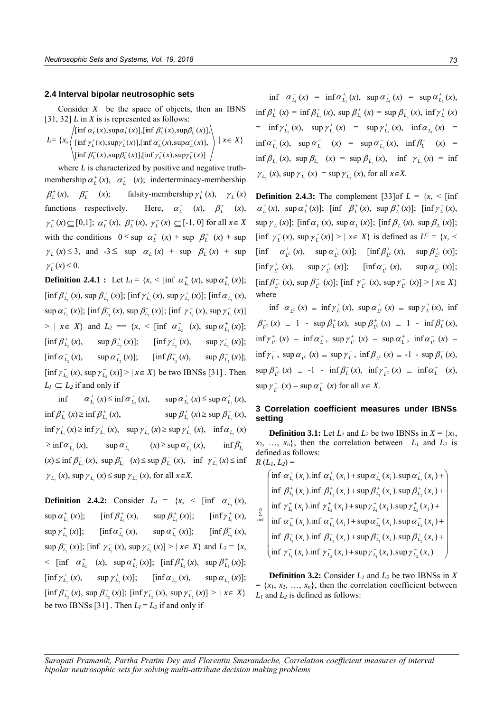# **2.4 Interval bipolar neutrosophic sets**

Consider *X* be the space of objects, then an IBNS [31, 32] *L* in *X* is is represented as follows:

$$
L = \left\{ x, \left\{ \begin{aligned} &\left[ \inf \alpha_L^+(x), \sup \alpha_L^+(x) \right], \left[ \inf \beta_L^+(x), \sup \beta_L^+(x) \right], \\ &\left[ \inf \gamma_L^+(x), \sup \gamma_L^+(x) \right], \left[ \inf \alpha_L^-(x), \sup \alpha_L^-(x) \right], \\ &\left[ \inf \beta_L^-(x), \sup \beta_L^-(x) \right], \left[ \inf \gamma_L^-(x), \sup \gamma_L^-(x) \right] \end{aligned} \right\} \mid x \in X \right\}
$$

where *L* is characterized by positive and negative truthmembership  $\alpha_L^+(x)$ ,  $\alpha_L^-(x)$ ; inderterminacy-membership  $\beta_L^+(x)$ ,  $\beta_L^-$ (*x*); falsity-membership  $\gamma_L^+(x)$ ,  $\gamma_L^-(x)$ functions respectively. Here,  $\alpha_L^+$  (*x*),  $\beta_L^+$  (*x*),  $\gamma_L^+(x) \subseteq [0,1]$ ;  $\alpha_L^-(x)$ ,  $\beta_L^-(x)$ ,  $\gamma_L^-(x) \subseteq [-1, 0]$  for all  $x \in X$ with the conditions  $0 \le \sup \alpha_L^+ (x) + \sup \beta_L^+ (x) + \sup$  $\gamma_L^+(x) \leq 3$ , and  $-3 \leq \sup \alpha_L^-(x) + \sup \beta_L^-(x) + \sup$  $\gamma_L^-(x) \leq 0.$ 

**Definition 2.4.1 :** Let  $L_I = \{x, \leq \lim_{L_I} \alpha_{L_I}^+(x), \sup_{L_I} \alpha_{L_I}^+(x)\};$  $\left[\inf \beta_{L_1}^+(x), \sup \beta_{L_1}^+(x)\right]; \left[\inf \gamma_{L_1}^+(x), \sup \gamma_{L_1}^+(x)\right]; \left[\inf \alpha_{L_1}^-(x),\right]$  $\sup \alpha_{L_1}^-(x)$ ];  $[\inf \beta_{L_1}^-(x), \sup \beta_{L_1}^-(x)]$ ;  $[\inf \gamma_{L_1}^-(x), \sup \gamma_{L_1}^-(x)]$  $> | x \in X$  and  $L_2 = \{x, \leq \left[ \inf \alpha_{L_2}^+ (x), \sup \alpha_{L_2}^+ (x) \right];$  $\left[ \inf \beta_{L_2}^+(x), \quad \sup \beta_{L_2}^+(x) \right]; \quad \left[ \inf \gamma_{L_2}^+(x), \quad \sup \gamma_{L_2}^+(x) \right];$  $[\inf \alpha_{L_2}^-(x), \quad \sup \alpha_{L_2}^-(x)]; \quad [\inf \beta_{L_2}^ (x)$ ,  $\sup \beta_{L_2}^-(x)$ ;  $\left[ \inf \gamma_{L_2}^-(x), \sup \gamma_{L_2}^-(x) \right] > |x \in X$  be two IBNSs [31] *.* Then  $L_I \subseteq L_2$  if and only if

 $\inf \alpha_{L_1}^+(x) \leq \inf \alpha_{L_2}^+(x)$ ,  $\sup \alpha_{L_1}^+(x) \leq \sup \alpha_{L_2}^+(x)$ ,  $\inf \beta_{L_1}^+(x) \geq \inf \beta_{L_2}^+$ (*x*),  $\sup \beta_{L_1}^+(x) \geq \sup \beta_{L_2}^+(x)$ ,  $\inf \gamma_{L_1}^+(x) \ge \inf \gamma_{L_2}^+(x)$ ,  $\sup \gamma_{L_1}^+(x) \ge \sup \gamma_{L_2}^+(x)$ ,  $\inf \alpha_{L_1}^-(x)$  $\geq \inf \alpha_{L_1}^-(x)$ ,  $\sup \alpha_{L_1}^-(x) \geq \sup \alpha_{L_2}^-(x)$ , inf  $\beta^-_{L_1}$  $f(x) \le \inf \beta_{L_2}^-(x)$ ,  $\sup \beta_{L_1}^-(x) \le \sup \beta_{L_2}^-(x)$ ,  $\inf \gamma_{L_1}^-(x) \le \inf$  $\gamma_{L_2}^{-}(x)$ , sup  $\gamma_{L_1}^{-}(x) \le \sup \gamma_{L_2}^{-}(x)$ , for all  $x \in X$ .

**Definition 2.4.2:** Consider  $L_I = \{x, \leq \lim_{L_I} \alpha_{L_I}^+(x),\}$  $\sup \alpha_{L_1}^+(x)$ ];  $\qquad \text{inf } \beta_{L_1}^+(x)$ ,  $\sup \beta_{L_1}^+(x)$ ;  $\qquad \text{inf } \gamma_{L_1}^+(x)$ ,  $\sup \gamma_{L_1}^+(x)$ ]; [ $\inf \alpha_{L_1}^-(x)$ ,  $\sup \alpha_{L_1}^-(x)$ ]; [ $\inf \beta_{L_1}^-(x)$ ,  $\sup \beta_{L_1}^-(x)$ ]; [inf  $\gamma_{L_1}^-(x)$ ,  $\sup \gamma_{L_1}^-(x)$ ] > |  $x \in X$ } and  $L_2 = \{x,$  $\langle \sin \theta \, \alpha_{L_2}^+ \alpha \rangle$ ,  $\sin \alpha_{L_2}^+ (x)$ ;  $[\sin \beta_{L_2}^+ (x), \sin \beta_{L_2}^+ (x)]$ ;  $\left[ \inf \gamma_{L_2}^+(x), \quad \sup \gamma_{L_2}^+(x) \right]; \quad \left[ \inf \alpha_{L_2}^-(x), \quad \sup \alpha_{L_2}^-(x) \right];$  $\left[\inf \beta_{L_2}^-(x), \sup \beta_{L_2}^-(x)\right]; \left[\inf \gamma_{L_2}^-(x), \sup \gamma_{L_2}^-(x)\right] > |x \in X$ be two IBNSs [31] *.* Then  $L_I = L_2$  if and only if

 $\inf \alpha_{L_1}^+(x) = \inf \alpha_{L_2}^+(x), \sup \alpha_{L_1}^+(x) = \sup \alpha_{L_2}^+(x),$  $\inf \beta_{L_1}^+(x) = \inf \beta_{L_2}^+(x)$ ,  $\sup \beta_{L_1}^+(x) = \sup \beta_{L_2}^+(x)$ ,  $\inf \gamma_{L_1}^+(x)$  $= \inf \gamma_{L_2}^+(x), \quad \sup \gamma_{L_1}^+(x) = \sup \gamma_{L_2}^+(x), \quad \inf \alpha_{L_1}^-(x) =$  $\inf \alpha_{L_2}^-(x)$ ,  $\sup \alpha_{L_1}^-(x) = \sup \alpha_{L_2}^-(x)$ ,  $\inf \beta_{L_1}^-(x) =$  $\inf \beta_{L_2}^-(x)$ ,  $\sup \beta_{L_1}^-(x) = \sup \beta_{L_2}^-(x)$ ,  $\inf \gamma_{L_1}^-(x) = \inf$  $\gamma_{L_2}^{-}(x)$ , sup  $\gamma_{L_1}^{-}(x) = \sup \gamma_{L_2}^{-}(x)$ , for all  $x \in X$ .

**Definition 2.4.3:** The complement [33]of  $L = \{x, \leq \text{inf}$  $\alpha_L^+(x)$ , sup  $\alpha_L^+(x)$ ]; [inf  $\beta_L^+(x)$ , sup  $\beta_L^+(x)$ ]; [inf  $\gamma_L^+(x)$ ,  $\sup \gamma_L^+(x)$ ];  $[\inf \alpha_L^-(x), \sup \alpha_L^-(x)]$ ;  $[\inf \beta_L^-(x), \sup \beta_L^-(x)]$ ;  $[\inf \gamma_L^-(x), \sup \gamma_L^-(x)] > |x \in X\}$  is defined as  $L^C = \{x, \leq X\}$  $[\inf \alpha_{L^c}^+(x), \quad \sup \alpha_{L^c}^+(x)]; \quad [\inf \beta_{L^c}^+(x), \quad \sup \beta_{L^c}^+(x)];$  $[\inf \gamma_{L^c}^+(x), \quad \sup \gamma_{L^c}^+(x)]; \quad [\inf \alpha_{L^c}^-(x), \quad \sup$  $\alpha_{L^c}^-(x)$ ];  $\left[\inf \beta_{L^c}^-(x), \sup \beta_{L^c}^-(x)\right]; \left[\inf \gamma_{L^c}^-(x), \sup \gamma_{L^c}^-(x)\right] > |x \in X$ where

 $\inf \alpha_{L^c}^+(x) = \inf \gamma_L^+(x), \sup \alpha_{L^c}^+(x) = \sup \gamma_L^+(x), \text{ inf}$  $\beta^+_{L^c}(x) = 1 - \sup \beta^+_{L}(x), \sup \beta^+_{L^c}(x) = 1 - \inf \beta^+_{L}(x),$  $\inf \gamma_{L^c}^+(x) = \inf \alpha_L^+, \sup \gamma_{L^c}^+(x) = \sup \alpha_L^+, \inf \alpha_{L^c}^-(x) =$  $\inf \gamma_L^-, \sup \alpha_{L^c}^-(x) = \sup \gamma_L^-, \inf \beta_{L^c}^-(x) = -1 - \sup \beta_L^-(x),$  $\sup \beta_{L^c}^-(x) = -1 - \inf \beta_L^-(x), \quad \inf \gamma_{L^c}^-(x) = \inf \alpha_L^-(x),$  $\sup \gamma_{L^c}^-(x) = \sup \alpha_L^-(x)$  for all  $x \in X$ .

# **3 Correlation coefficient measures under IBNSs setting**

**Definition 3.1:** Let  $L_1$  and  $L_2$  be two IBNSs in  $X = \{x_1, x_2, \dots, x_n\}$  $x_2, \ldots, x_n$ , then the correlation between  $L_1$  and  $L_2$  is defined as follows:  $R(L_1, L_2) =$ 

 $\overline{\phantom{a}}$  $\overline{\phantom{a}}$  $\overline{\phantom{a}}$  $\overline{\phantom{a}}$  $\overline{\phantom{a}}$  $\overline{\phantom{a}}$  $\overline{\phantom{a}}$  $\overline{\phantom{a}}$  $\overline{\phantom{a}}$  $\left(\inf \alpha_{L_1}^+(x_i) . \inf \alpha_{L_2}^+(x_i) + \sup \alpha_{L_1}^+(x_i) . \sup \alpha_{L_2}^+(x_i) + \right)$ J  $\overline{\phantom{a}}$  $\int \inf \beta_{L_1}^-(x_i) \cdot \inf \beta_{L_2}^-(x_i) + \sup \beta_{L_1}^-(x_i) \cdot \sup \beta_{L_2}^-(x_i) +$  $\overline{\phantom{a}}$  $\overline{\phantom{a}}$  $\overline{\phantom{a}}$  $\int \inf \gamma_L^+(x_i) \cdot \inf \gamma_L^+(x_i) + \sup \gamma_L^+(x_i) \cdot \sup \gamma_L^+(x_i) +$  $\overline{\phantom{a}}$  $\int \inf \beta_{L_1}^+(x_i) \cdot \inf \beta_{L_2}^+(x_i) + \sup \beta_{L_1}^+(x_i) \cdot \sup \beta_{L_2}^+(x_i) +$  $\left(\inf \gamma_{L_1}^-(x_i).\inf \gamma_{L_2}^-(x_i)+\sup \gamma_{L_1}^-(x_i).\sup \gamma_{L_2}^-(x_i)\right)$  $\sum_{i=1}^{\sum}$  inf  $\alpha_{L_1}^-(x_i)$ . inf  $\alpha_{L_2}^-(x_i)$  + sup  $\alpha_{L_1}^-(x_i)$ . sup  $\alpha_{L_2}^-(x_i)$  +  $1 \times 1$   $1 \times L_2 \times 1$   $1 \times L_1 \times 1$   $1 \times L_2$  $\alpha_{L_i}^-(x_i)$  inf  $\alpha_{L_i}^-(x_i)$  + sup  $\alpha_{L_i}^-(x_i)$  sup  $\alpha_{L_i}^-(x_i)$  $\mu_{\parallel}$  **i**  $\mu_{L_1}$  ( $\lambda_i$ ). **i**  $\mu_{L_2}$  ( $\lambda_i$ )  $\tau$  sup  $\mu_{L_1}$  ( $\lambda_i$ ). sup  $\mu_{L_2}$  ( $\lambda_i$ )  $\alpha$ <sup>*x*</sup>  $\alpha$ <sup>*x*</sup>  $\alpha$ <sup>*x*</sup>  $\alpha$ <sup>*x*</sup>  $\alpha$ <sup>*x*</sup>  $\alpha$ <sup>*x*</sup>  $\alpha$ <sup>*x*</sup>  $\alpha$ <sup>*x*</sup>  $\alpha$ <sup>*x*</sup>  $\alpha$ <sup>*x*</sup>  $\alpha$ <sup>*x*</sup>  $\alpha$ <sup>*x*</sup>  $\alpha$ <sup>*x*</sup>  $\alpha$ <sup>*x*</sup>  $\alpha$ <sup>*x*</sup>  $\alpha$ <sup>*x*</sup>  $\alpha$ <sup>*x*</sup>  $\alpha$ <sup>*x*</sup>  $\alpha$ <sup>*x*</sup>  $\alpha$ <sup>*x*</sup>  $\alpha$ <sup>*x*</sup>  $\alpha$ <sup>*x*</sup>

**Definition 3.2:** Consider *L<sup>1</sup>* and *L<sup>2</sup>* be two IBNSs in *X*  $= \{x_1, x_2, \ldots, x_n\}$ , then the correlation coefficient between *L<sup>1</sup>* and *L<sup>2</sup>* is defined as follows: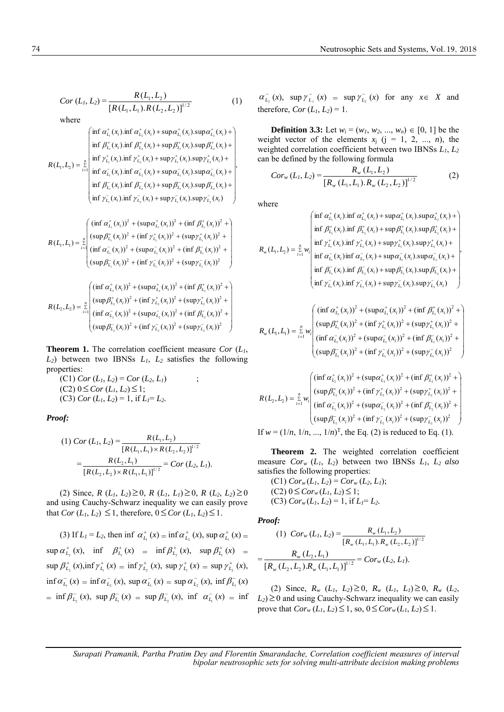$$
Cor(L_1, L_2) = \frac{R(L_1, L_2)}{[R(L_1, L_1).R(L_2, L_2)]^{1/2}}
$$
 (1)

 $\left(\inf \gamma_{L_1}^-(x_i).\inf \gamma_{L_2}^-(x_i)+\sup \gamma_{L_1}^-(x_i).\sup \gamma_{L_2}^-(x_i)\right)$ inf  $\beta_{L_1}^-(x_i)$ .inf  $\beta_{L_2}^-(x_i)$  + sup  $\beta_{L_1}^-(x_i)$ .sup  $\beta_{L_2}^-(x_i)$ inf  $\alpha_L^-(x_i)$ .inf  $\alpha_L^-(x_i)$  + sup $\alpha_L^-(x_i)$ .sup $\alpha_L^-(x_i)$ inf  $\gamma_L^+(x_i)$ .inf  $\gamma_L^+(x_i)$  + sup  $\gamma_L^+(x_i)$ .sup  $\gamma_L^+(x_i)$ inf  $\beta_L^+(x_i)$ .inf  $\beta_L^+(x_i)$  + sup  $\beta_L^+(x_i)$ .sup  $\beta_L^+(x_i)$  $\left(\inf \alpha_{L_1}^+(x_i) . \inf \alpha_{L_2}^+(x_i) + \sup \alpha_{L_1}^+(x_i) . \sup \alpha_{L_2}^+(x_i) + \right)$  $(L_1, L_2) = \sum_{i=1}^{n}$  $1 \times 1$   $1 \times 1$   $1 \times 1$   $1 \times 1$   $1 \times 1$  $1$  2 1 2 2 2 2 2 2 2 2 2 2 2  $2$  2 2  $2$  2  $2$  2  $2$  2  $2$  2  $2$  2  $2$  2  $2$  2  $2$  2  $2$  2  $2$  2  $2$  2  $2$  2  $2$  2  $2$  2  $2$  2  $2$  2  $2$  2  $2$  2  $2$  2  $2$  2  $2$  2  $2$  2  $2$  2  $2$  2  $2$  2  $2$  2  $2$  2  $2$  2  $2$  2  $2$  2  $2$  $1 \times 1$   $1 \times 1$   $1 \times 1$   $1 \times 1$   $1 \times 1$  $L_1 \setminus \cdots \setminus L_2 \setminus \cdots \setminus L_1 \setminus \cdots \setminus L_2$  $\sum_{r=1}^{\infty}$  inf  $\alpha^{-}(r)$  inf  $\alpha^{-}(r)$  + sup  $\alpha^{-}(r)$  sup  $\alpha^{-}$  $f(x)$  inf  $y^+(x)$  + cun  $y^+(x)$  cun  $y^+$  $f(x)$  inf  $Q^+(x)$  (and  $Q^+(x)$  cum  $Q^+$  $\overline{1}$  $\overline{\phantom{a}}$  $\overline{\mathcal{L}}$  $\overline{\phantom{a}}$  $\overline{\phantom{a}}$  $\overline{\phantom{a}}$  $\overline{\phantom{a}}$  $\overline{\phantom{a}}$  $\overline{\phantom{a}}$ J  $\mathsf{I}$  $\int \inf \beta_{L_1}^-(x_i) \cdot \inf \beta_{L_2}^-(x_i) + \sup \beta_{L_1}^-(x_i) \cdot \sup \beta_{L_2}^-(x_i) +$  $\parallel$  $\parallel$  $\parallel$  $\parallel$  $\parallel$  $\parallel$  $\overline{\phantom{a}}$  $+\sup \alpha_{L}^{-}(x_i).\sup \alpha_{L}^{-}(x_i)+$ + sup  $\gamma_L^+(x_i)$ .sup  $\gamma_L^+(x_i)$  +  $+\sup \beta_L^+(x_i).\sup \beta_L^+(x_i)+$  $=\sum_{n=1}^{\infty}$  $\int_{t=1}^{t=1}$  inf  $\alpha_{L_1}^{-}(x_i)$ . inf  $\alpha_{L_2}^{-}(x_i)$  + sup  $\alpha_{L_1}^{-}(x_i)$ . sup  $\alpha_{L_2}^{-}(x_i)$  $L_i(\lambda_i)$  **i**ll  $\ell_L(\lambda_i)$  is  $\sup_l \ell_{L_l}(\lambda_i)$  **is**  $\sup_l \ell_{L_l}(\lambda_i)$  $L_i$   $(\lambda_i)$  and  $\mu_{L_i}$   $(\lambda_i)$   $\pm$   $\sup \mu_{L_i}$   $(\lambda_i)$   $\sup \mu_{L_i}$   $(\lambda_i)$  $x_i$ ).inf  $\alpha_{i}$ <sup>-</sup> $(x_i)$  + sup  $\alpha_{i}$ <sup>-</sup> $(x_i)$ .sup  $\alpha_{i}$ <sup>-</sup> $(x_i)$  $x_i$ ). inf  $\gamma_L^+(x_i)$  + sup  $\gamma_L^+(x_i)$ . sup  $\gamma_L^+(x_i)$  $x_i$ ). inf  $\beta_L^+(x_i)$  + sup  $\beta_L^+(x_i)$ . sup  $\beta_L^+(x_i)$  $R(L_1, L_2) = \sum_{i=1}^{n} \left| \inf_{\alpha_i^{-}} \alpha_i^{-}(x_i) \cdot \inf_{\alpha_i^{-}} \alpha_i^{-}(x_i) + \sup_{\alpha_i^{-}} \alpha_i^{-}(x_i) \cdot \sup_{\alpha_i^{-}} \alpha_i^{-}(x_i) \right|$  $\gamma_L(x_i)$  m  $\gamma_L(x_i)$  + sup  $\gamma_L(x_i)$  sup  $\gamma$  $\beta_L^+(x_i)$ .inf  $\beta_L^+(x_i)$  + sup  $\beta_L^+(x_i)$ .sup  $\beta_L$ 

$$
R(L_1, L_1) = \sum_{i=1}^{n} \left( \frac{\left(\inf \alpha_{L_i}^+(x_i)\right)^2 + \left(\sup \alpha_{L_i}^+(x_i)\right)^2 + \left(\inf \beta_{L_i}^+(x_i)\right)^2 + \left(\sup \beta_{L_i}^+(x_i)\right)^2 + \left(\sup \beta_{L_i}^+(x_i)\right)^2 + \left(\sup \beta_{L_i}^+(x_i)\right)^2 + \left(\inf \alpha_{L_i}^-(x_i)\right)^2 + \left(\sup \alpha_{L_i}^-(x_i)\right)^2 + \left(\inf \beta_{L_i}^-(x_i)\right)^2 + \left(\sup \beta_{L_i}^-(x_i)\right)^2 + \left(\sup \beta_{L_i}^-(x_i)\right)^2 + \left(\sup \beta_{L_i}^-(x_i)\right)^2 \right)
$$

$$
R(L_2, L_2) = \sum_{i=1}^{n} \left( \frac{\left(\inf \alpha_{L_2}^+(x_i)\right)^2 + \left(\sup \alpha_{L_2}^+(x_i)\right)^2 + \left(\inf \beta_{L_2}^+(x_i)\right)^2 + \left(\sup \beta_{L_2}^+(x_i)\right)^2 + \left(\sup \beta_{L_2}^+(x_i)\right)^2 + \left(\sup \beta_{L_2}^-(x_i)\right)^2 + \left(\sup \alpha_{L_2}^-(x_i)\right)^2 + \left(\sup \alpha_{L_2}^-(x_i)\right)^2 + \left(\inf \beta_{L_2}^-(x_i)\right)^2 + \left(\sup \beta_{L_2}^-(x_i)\right)^2 + \left(\sup \beta_{L_2}^-(x_i)\right)^2 + \left(\sup \beta_{L_2}^-(x_i)\right)^2 + \left(\sup \beta_{L_2}^-(x_i)\right)^2 \right)
$$

**Theorem 1.** The correlation coefficient measure *Cor* (*L1*, *L2*) between two IBNSs *L1*, *L2* satisfies the following properties:

 $(C1)$   $Cor$   $(L_1, L_2) = Cor$   $(L_2, L_1)$  ;  $(C2)$   $0 \leq Cor(L_1, L_2) \leq 1;$ (C3) *Cor*  $(L_1, L_2) = 1$ , if  $L_1 = L_2$ .

*Proof:*

(1) 
$$
Cor(L_1, L_2) = \frac{R(L_1, L_2)}{[R(L_1, L_1) \times R(L_2, L_2)]^{1/2}}
$$

$$
= \frac{R(L_2, L_1)}{[R(L_2, L_2) \times R(L_1, L_1)]^{1/2}} = Cor(L_2, L_1).
$$

 $(R)$  Since,  $R$   $(L_1, L_2) \ge 0$ ,  $R$   $(L_1, L_1) \ge 0$ ,  $R$   $(L_2, L_2) \ge 0$ and using Cauchy-Schwarz inequality we can easily prove that  $Cor(L_1, L_2) \leq 1$ , therefore,  $0 \leq Cor(L_1, L_2) \leq 1$ .

(3) If  $L_1 = L_2$ , then inf  $\alpha_{L_1}^+(x) = \inf \alpha_{L_2}^+(x)$ , sup  $\alpha_{L_1}^+(x) =$  $\sup \alpha_{L_2}^+(x)$ ,  $\inf \beta_{L_1}^+(x) = \inf \beta_{L_2}^+(x)$ ,  $\sup \beta_{L_1}^+(x) =$  $\sup \beta_{L_2}^+(x)$ ,  $\inf \gamma_{L_1}^+(x) = \inf \gamma_{L_2}^+(x)$ ,  $\sup \gamma_{L_1}^+(x) = \sup \gamma_{L_2}^+(x)$ ,  $\inf \alpha_{L_1}^-(x) = \inf \alpha_{L_2}^-(x)$ ,  $\sup \alpha_{L_1}^-(x) = \sup \alpha_{L_2}^-(x)$ ,  $\inf \beta_{L_1}^-(x)$  $=\inf \beta^-_{L_2}(x)$ ,  $\sup \beta^-_{L_1}(x) = \sup \beta^-_{L_2}(x)$ ,  $\inf \alpha^-_{L_1}(x) = \inf$ 

 $\alpha_{L_2}^{-}(x)$ , sup  $\gamma_{L_1}^{-}(x) = \sup \gamma_{L_2}^{-}(x)$  for any  $x \in X$  and therefore,  $Cor(L_1, L_2) = 1$ .

**Definition 3.3:** Let  $w_i = (w_1, w_2, ..., w_n) \in [0, 1]$  be the weight vector of the elements  $x_i$  ( $j = 1, 2, ..., n$ ), the weighted correlation coefficient between two IBNSs *L1*, *L<sup>2</sup>* can be defined by the following formula

$$
Cor_w(L_1, L_2) = \frac{R_w(L_1, L_2)}{[R_w(L_1, L_1).R_w(L_2, L_2)]^{1/2}}
$$
 (2)

where

,

$$
R_{w}(L_{1},L_{2}) = \sum_{i=1}^{n} w_{i} \left( \inf_{\gamma_{L_{i}}}(x_{i}) \inf \beta_{L_{2}}^{+}(x_{i}) + \sup_{\gamma_{L_{1}}}(x_{i}) \sup_{\gamma_{L_{1}}}(x_{i}) \sup_{\gamma_{L_{2}}}(x_{i}) + \right) \left( \inf_{\gamma_{L_{1}}}(x_{i}) \inf \gamma_{L_{1}}^{+}(x_{i}) \inf \gamma_{L_{2}}^{+}(x_{i}) + \sup_{\gamma_{L_{1}}}(x_{i}) \sup_{\gamma_{L_{1}}}(x_{i}) \sup_{\gamma_{L_{1}}}(x_{i}) + \right) \left( \inf_{\gamma_{L_{1}}}(x_{i}) \inf \alpha_{L_{1}}^{-}(x_{i}) + \sup_{\gamma_{L_{1}}}(x_{i}) \sup_{\gamma_{L_{1}}}(x_{i}) \sup_{\gamma_{L_{1}}}(x_{i}) + \right) \left( \inf_{\gamma_{L_{1}}}(x_{i}) \inf \beta_{L_{2}}^{-}(x_{i}) + \sup_{\gamma_{L_{1}}}(x_{i}) \sup_{\gamma_{L_{1}}}(x_{i}) \sup_{\gamma_{L_{1}}}(x_{i}) + \right) \left( \inf_{\gamma_{L_{1}}}(x_{i}) \inf \gamma_{L_{1}}^{-}(x_{i}) + \sup_{\gamma_{L_{1}}}(x_{i}) \sup_{\gamma_{L_{1}}}(x_{i}) \sup_{\gamma_{L_{1}}}(x_{i}) \right)
$$

$$
R_{w}(L_{1}, L_{1}) = \sum_{i=1}^{n} w_{i} \left( \frac{(\inf \alpha_{L_{1}}^{+}(x_{i}))^{2} + (\sup \alpha_{L_{1}}^{+}(x_{i}))^{2} + (\inf \beta_{L_{1}}^{+}(x_{i}))^{2} + (\sup \beta_{L_{1}}^{+}(x_{i}))^{2} + (\sup \beta_{L_{1}}^{+}(x_{i}))^{2} + (\sup \beta_{L_{1}}^{+}(x_{i}))^{2} + (\inf \alpha_{L_{1}}^{-}(x_{i}))^{2} + (\sup \alpha_{L_{1}}^{-}(x_{i}))^{2} + (\inf \beta_{L_{1}}^{-}(x_{i}))^{2} + (\sup \beta_{L_{1}}^{-}(x_{i}))^{2} \right)
$$

$$
R(L_2, L_2) = \sum_{i=1}^{n} w_i \begin{pmatrix} (\inf \alpha_{L_2}^+(x_i))^2 + (\sup \alpha_{L_2}^+(x_i))^2 + (\inf \beta_{L_2}^+(x_i))^2 + \\ (\sup \beta_{L_2}^+(x_i))^2 + (\inf \gamma_{L_2}^+(x_i))^2 + (\sup \gamma_{L_2}^+(x_i))^2 + \\ (\inf \alpha_{L_2}^-(x_i))^2 + (\sup \alpha_{L_2}^-(x_i))^2 + (\inf \beta_{L_2}^-(x_i))^2 + \\ (\sup \beta_{L_2}^-(x_i))^2 + (\inf \gamma_{L_2}^-(x_i))^2 + (\sup \gamma_{L_2}^-(x_i))^2 \end{pmatrix}
$$

If  $w = (1/n, 1/n, ..., 1/n)^T$ , the Eq. (2) is reduced to Eq. (1).

**Theorem 2.** The weighted correlation coefficient measure *Cor<sup>w</sup>* (*L1*, *L2*) between two IBNSs *L1*, *L2 also* satisfies the following properties:

 $(C1) \text{Cor}_{w}(L_1, L_2) = \text{Cor}_{w}(L_2, L_1);$  $(C2)$   $0 \leq Cor_w(L_1, L_2) \leq 1;$ (C3)  $Cor_w(L_1, L_2) = 1$ , if  $L_1 = L_2$ .

*Proof:*

(1) 
$$
Cor_w(L_1, L_2) = \frac{R_w(L_1, L_2)}{[R_w(L_1, L_1).R_w(L_2, L_2)]^{1/2}}
$$

$$
= \frac{R_w(L_2, L_1)}{[R_w(L_2, L_2).R_w(L_1, L_1)]^{1/2}} = Cor_w(L_2, L_1).
$$

(2) Since,  $R_w$  ( $L_1$ ,  $L_2$ )  $\geq$  0,  $R_w$  ( $L_1$ ,  $L_1$ )  $\geq$  0,  $R_w$  ( $L_2$ ,  $(L_2) \geq 0$  and using Cauchy-Schwarz inequality we can easily prove that  $Cor_w(L_1, L_2) \le 1$ , so,  $0 \le Cor_w(L_1, L_2) \le 1$ .

*Surapati Pramanik, Partha Pratim Dey and Florentin Smarandache, Correlation coefficient measures of interval bipolar neutrosophic sets for solving multi-attribute decision making problems*

where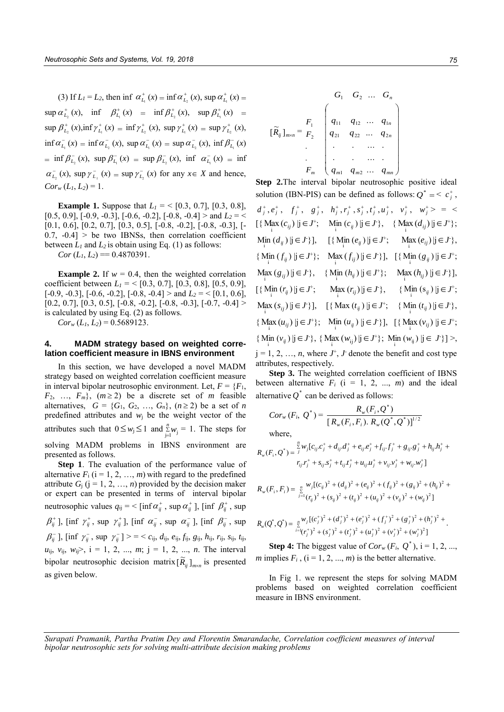(3) If  $L_1 = L_2$ , then inf  $\alpha_{L_1}^+(x) = \inf \alpha_{L_2}^+(x)$ , sup  $\alpha_{L_1}^+(x) =$  $\sup \alpha_{L_2}^+(x)$ ,  $\inf \beta_{L_1}^+(x) = \inf \beta_{L_2}^+(x)$ ,  $\sup \beta_{L_1}^+(x) =$  $\sup \beta_{L_2}^+(x)$ ,  $\inf \gamma_{L_1}^+(x) = \inf \gamma_{L_2}^+(x)$ ,  $\sup \gamma_{L_1}^+(x) = \sup \gamma_{L_2}^+(x)$ ,  $\inf \alpha_{L_1}^-(x) = \inf \alpha_{L_2}^-(x)$ ,  $\sup \alpha_{L_1}^-(x) = \sup \alpha_{L_2}^-(x)$ ,  $\inf \beta_{L_1}^-(x)$  $=\inf \beta^-_{L_2}(x)$ ,  $\sup \beta^-_{L_1}(x) = \sup \beta^-_{L_2}(x)$ ,  $\inf \alpha^-_{L_1}(x) = \inf$  $\alpha_{L_2}^-(x)$ , sup  $\gamma_{L_1}^-(x) = \sup \gamma_{L_2}^-(x)$  for any  $x \in X$  and hence,  $Cor_w(L_1, L_2) = 1$ .

**Example 1.** Suppose that  $L_1 = \{0.3, 0.7\}, [0.3, 0.8],$  $[0.5, 0.9]$ ,  $[-0.9, -0.3]$ ,  $[-0.6, -0.2]$ ,  $[-0.8, -0.4] >$  and  $L_2 = \langle$ [0.1, 0.6], [0.2, 0.7], [0.3, 0.5], [-0.8, -0.2], [-0.8, -0.3], [-  $0.7, -0.4$  > be two IBNSs, then correlation coefficient between  $L_1$  and  $L_2$  is obtain using Eq. (1) as follows:

 $Cor(L_1, L_2) = 0.4870391.$ 

**Example 2.** If  $w = 0.4$ , then the weighted correlation coefficient between  $L_1 = \{0.3, 0.7\}$ ,  $[0.3, 0.8]$ ,  $[0.5, 0.9]$ ,  $[-0.9, -0.3]$ ,  $[-0.6, -0.2]$ ,  $[-0.8, -0.4] >$  and  $L_2 = \{0.1, 0.6\}$ ,  $[0.2, 0.7], [0.3, 0.5], [-0.8, -0.2], [-0.8, -0.3], [-0.7, -0.4] >$ is calculated by using Eq. (2) as follows.

 $Cor_w(L_1, L_2) = 0.5689123$ .

## **4. MADM strategy based on weighted correlation coefficient measure in IBNS environment**

In this section, we have developed a novel MADM strategy based on weighted correlation coefficient measure in interval bipolar neutrosophic environment. Let,  $F = \{F_1,$  $F_2$ , ...,  $F_m$ ,  $(m \ge 2)$  be a discrete set of *m* feasible alternatives,  $G = \{G_1, G_2, ..., G_n\}$ ,  $(n \ge 2)$  be a set of *n* predefined attributes and  $w_i$  be the weight vector of the attributes such that  $0 \leq w_j \leq 1$  and  $\sum_{j=1}^n$  $\sum_{j=1}^{n} w_j = 1$ . The steps for solving MADM problems in IBNS environment are presented as follows.

**Step 1**. The evaluation of the performance value of alternative  $F_i$  ( $i = 1, 2, ..., m$ ) with regard to the predefined attribute  $G_j$  ( $j = 1, 2, ..., n$ ) provided by the decision maker or expert can be presented in terms of interval bipolar neutrosophic values  $q_{ij} = \langle \left[ \inf \alpha_{ij}^+ , \sup \alpha_{ij}^+ \right], \left[ \inf \beta_{ij}^+ , \sup \beta_{ij}^- \right]$  $\beta_{ij}^+$ ], [inf  $\gamma_{ij}^+$ , sup  $\gamma_{ij}^+$ ], [inf  $\alpha_{ij}^-$ , sup  $\alpha_{ij}^-$ ], [inf  $\beta_{ij}^-$ , sup  $\beta_{ij}^-$ ], [inf  $\gamma_{ij}^-$ , sup  $\gamma_{ij}^-$ ] > = < *c*<sub>ij</sub>, *d*<sub>ij</sub>, *e*<sub>ij</sub>, *f*<sub>ij</sub>, *g*<sub>ij</sub>, *h*<sub>ij</sub>, *r*<sub>ij</sub>, *s*<sub>ij</sub>, *t*<sub>ij</sub>,  $u_{ij}$ ,  $v_{ij}$ ,  $w_{ij}$ ,  $i = 1, 2, ..., m$ ;  $j = 1, 2, ..., n$ . The interval bipolar neutrosophic decision matrix  $[\widetilde{R}_{ij}]_{m \times n}$  is presented as given below.

$$
\left[\widetilde{R}_{ij}\right]_{m\times n} = \begin{bmatrix} F_1 \\ F_2 \\ \vdots \\ F_n \end{bmatrix} \left( \begin{array}{cccc} q_1 & q_1 & \dots & q_n \\ q_{11} & q_{12} & \dots & q_{1n} \\ q_{21} & q_{22} & \dots & q_{2n} \\ \vdots & \vdots & \ddots & \vdots \\ q_{m1} & q_{m2} & \dots & q_{mn} \end{array} \right)
$$

**Step 2.**The interval bipolar neutrosophic positive ideal solution (IBN-PIS) can be defined as follows:  $Q^* = \langle c_j^* \rangle$ ,

$$
d_j^+, e_j^+, f_j^+, g_j^+, h_j^+, r_j^+, s_j^+, t_j^+, u_j^+, v_j^+, w_j^+ > = \langle \{ \{ \text{Max}(c_{ij}) | j \in J^+; \text{ Min}(c_{ij}) | j \in J^+ \}, \{ \text{Max}(d_{ij}) | j \in J^+ \}; \right\}
$$
\n
$$
N_{\text{in}}(d_{ij}) | j \in J^+ \}
$$
\n
$$
N_{\text{in}}(d_{ij}) | j \in J^+ \}
$$
\n
$$
N_{\text{in}}(f_{ij}) | j \in J^+ \}
$$
\n
$$
N_{\text{in}}(f_{ij}) | j \in J^+ \}
$$
\n
$$
N_{\text{in}}(f_{ij}) | j \in J^+ \}
$$
\n
$$
N_{\text{in}}(f_{ij}) | j \in J^+ \}
$$
\n
$$
N_{\text{in}}(g_{ij}) | j \in J^+ \}
$$
\n
$$
N_{\text{in}}(g_{ij}) | j \in J^+ \}
$$
\n
$$
N_{\text{in}}(h_{ij}) | j \in J^+ \}
$$
\n
$$
N_{\text{in}}(h_{ij}) | j \in J^+ \}
$$
\n
$$
N_{\text{in}}(h_{ij}) | j \in J^+ \}
$$
\n
$$
N_{\text{in}}(f_{ij}) | j \in J^+ \}
$$
\n
$$
N_{\text{in}}(f_{ij}) | j \in J^+ \}
$$
\n
$$
N_{\text{in}}(f_{ij}) | j \in J^+ \}
$$
\n
$$
N_{\text{in}}(f_{ij}) | j \in J^+ \}
$$
\n
$$
N_{\text{in}}(f_{ij}) | j \in J^+ \}
$$
\n
$$
N_{\text{in}}(h_{ij}) | j \in J^+ \}
$$
\n
$$
N_{\text{in}}(h_{ij}) | j \in J^+ \}
$$
\n
$$
N_{\text{in}}(h_{ij}) | j \in J^+ \}
$$
\n
$$
N_{\text{in}}(h_{ij}) | j \in J^+ \}
$$
\n
$$
N_{\text{in}}(h_{ij}) | j \in J^+ \}
$$
\n
$$
N_{\text{in}}
$$

Step 3. The weighted correlation coefficient of IBNS between alternative  $F_i$  ( $i = 1, 2, ..., m$ ) and the ideal alternative  $Q^*$  can be derived as follows:

$$
Cor_w(F_i, Q^*) = \frac{R_w(F_i, Q^*)}{[R_w(F_i, F_i), R_w(Q^*, Q^*)]^{1/2}}
$$
  
where,

$$
R_w(F_i, Q^*) = \frac{\sum\limits_j^n w_j [c_{ij}c_j^+ + d_{ij}d_j^+ + e_{ij}c_j^+ + f_{ij}f_j^+ + g_{ij}g_j^+ + h_{ij}h_j^+ +
$$
  

$$
r_{ij}r_j^+ + s_{ij}s_j^+ + t_{ij}t_j^+ + u_{ij}u_j^+ + v_{ij}v_j^+ + w_{ij}w_j^+]
$$

$$
R_{w}(F_{i}, F_{i}) = \frac{1}{2} \sum_{j=1}^{n} (V_{ij})^{2} + (d_{ij})^{2} + (e_{ij})^{2} + (f_{ij})^{2} + (g_{ij})^{2} + (h_{ij})^{2} + (h_{ij})^{2}
$$
  

$$
+ (V_{ij})^{2} + (g_{ij})^{2} + (h_{ij})^{2} + (h_{ij})^{2} + (h_{ij})^{2} + (h_{ij})^{2}
$$

$$
R_w(Q^*,Q^*) = \sum_{i=\{r_j^+\}}^n w_j [(c_j^+)^2 + (d_j^+)^2 + (e_j^+)^2 + (f_j^+)^2 + (g_j^+)^2 + (h_j^+)^2 + ...
$$
  

$$
= (r_j^+)^2 + (s_j^+)^2 + (t_j^+)^2 + (u_j^+)^2 + (v_j^+)^2 + (w_j^+)^2]
$$

**Step 4:** The biggest value of  $Cor_w(F_i, Q^*)$ , i = 1, 2, ..., *m* implies  $F_i$ ,  $(i = 1, 2, ..., m)$  is the better alternative.

In Fig 1. we represent the steps for solving MADM problems based on weighted correlation coefficient measure in IBNS environment.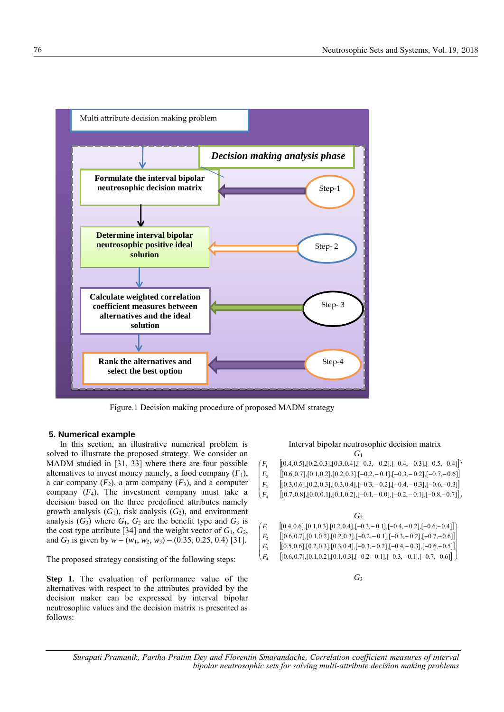

Figure.1 Decision making procedure of proposed MADM strategy

## **5. Numerical example**

In this section, an illustrative numerical problem is solved to illustrate the proposed strategy. We consider an MADM studied in [31, 33] where there are four possible alternatives to invest money namely, a food company  $(F_1)$ , a car company  $(F_2)$ , a arm company  $(F_3)$ , and a computer company  $(F_4)$ . The investment company must take a decision based on the three predefined attributes namely growth analysis  $(G_1)$ , risk analysis  $(G_2)$ , and environment analysis  $(G_3)$  where  $G_1$ ,  $G_2$  are the benefit type and  $G_3$  is the cost type attribute [34] and the weight vector of  $G_1$ ,  $G_2$ , and *G*<sub>3</sub> is given by  $w = (w_1, w_2, w_3) = (0.35, 0.25, 0.4)$  [31].

The proposed strategy consisting of the following steps:

**Step 1.** The evaluation of performance value of the alternatives with respect to the attributes provided by the decision maker can be expressed by interval bipolar neutrosophic values and the decision matrix is presented as follows:

# Interval bipolar neutrosophic decision matrix *G*1

| $[(0.4, 0.5], [0.2, 0.3], [0.3, 0.4], [-0.3, -0.2], [-0.4, -0.3], [-0.5, -0.4]]$ |  |
|----------------------------------------------------------------------------------|--|
|                                                                                  |  |

- $[(0.6, 0.7], [0.1, 0.2], [0.2, 0.3], [-0.2, -0.1], [-0.3, -0.2], [-0.7, -0.6]]$  $|F_2$  $\left( \begin{array}{c} F_1 \end{array} \right)$
- $\left[ \left[ 0.3, 0.6 \right], \left[ 0.2, 0.3 \right], \left[ 0.3, 0.4 \right], \left[ -0.3, -0.2 \right], \left[ -0.4, -0.3 \right], \left[ -0.6, -0.3 \right] \right]$  $\left| \right. F_{3}$
- $[[0.7, 0.8],[0.2, 0.5],[0.3, 0.4],[-0.5, -0.2],[-0.4, -0.5],[-0.0, -0.5]]$  $[0.7, 0.8]$ ,  $[0.0, 0.1]$ ,  $[0.1, 0.2]$ ,  $[-0.1, -0.0]$ ,  $[-0.2, -0.1]$ ,  $[-0.8, -0.7]$  $\overline{\phantom{a}}$  $\bigcup$
- *G*2  $[0.4, 0.6]$ ,  $[0.1, 0.3]$ ,  $[0.2, 0.4]$ ,  $[-0.3, -0.1]$ ,  $[-0.4, -0.2]$ ,  $[-0.6, -0.4]$  $[(0.6, 0.7], [0.1, 0.2], [0.2, 0.3], [-0.2, -0.1], [-0.3, -0.2], [-0.7, -0.6]]$  $|F_2$  $\left( \begin{array}{c} F_1 \end{array} \right)$
- $\left[ \left[ 0.5, 0.6\right], \left[ 0.2, 0.3\right], \left[ 0.3, 0.4\right], \left[ -0.3, -0.2\right], \left[ -0.4, -0.3\right], \left[ -0.6, -0.5\right] \right]$  $\left| \right. F_{3}$
- $[(0.6, 0.7],[0.1, 0.2],[0.1, 0.3],[-0.2-0.1],[-0.3,-0.1],[-0.7,-0.6]]$  $\bigg\downarrow$   $F_4$

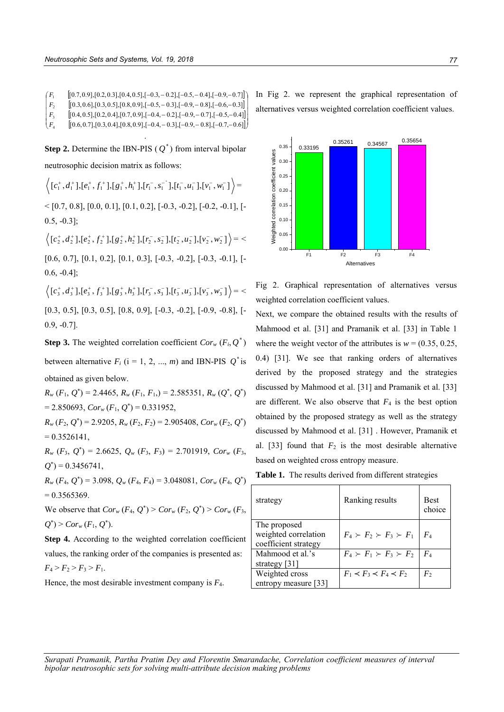$[0.7, 0.9]$ ,  $[0.2, 0.3]$ ,  $[0.4, 0.5]$ ,  $[-0.3, -0.2]$ ,  $[-0.5, -0.4]$ ,  $[-0.9, -0.7]$  $\begin{pmatrix} F_1 \\ - \end{pmatrix}$ 

- $[(0.3, 0.6], [0.3, 0.5], [0.8, 0.9], [-0.5, -0.3], [-0.9, -0.8], [-0.6, -0.3]]$  $\overline{\phantom{a}}$  $|F_{2}|$
- $\left[ \left[ 0.4, 0.5\right], \left[ 0.2, 0.4\right], \left[ 0.7, 0.9\right], \left[ -0.4, -0.2\right], \left[ -0.9, -0.7\right], \left[ -0.5, -0.4\right] \right]$  $\overline{\phantom{a}}$  $\left| \right. F_{3} \right|$
- $[(0.6, 0.7], [0.3, 0.4], [0.8, 0.9], [-0.4, -0.3], [-0.9, -0.8], [-0.7, -0.6]]$  $\big($   $F_{4}$ .

**Step 2.** Determine the IBN-PIS  $(Q^*)$  from interval bipolar neutrosophic decision matrix as follows:

 $[ c_1^{\dagger}, d_1^{\dagger}], [ e_1^{\dagger}, f_1^{\dagger}], [ g_1^{\dagger}, h_1^{\dagger}], [ r_1^{\dagger}, s_1^{\dagger} ] , [ t_1^{\dagger}, u_1^{\dagger}], [ v_1^{\dagger}, w_1^{\dagger} ]$   $c_1^+, d_1^+$ ],  $[e_1^+, f_1^+]$ ,  $[g_1^+, h_1^+]$ ,  $[r_1^-, s_1^-]$ ,  $[t_1^-, u_1^-]$ ,  $[v_1^-, w_1^-]$   $\succ$  $\{0.7, 0.8\}, [0.0, 0.1], [0.1, 0.2], [-0.3, -0.2], [-0.2, -0.1], [-0.2, -0.1],$ 0.5, -0.3];

 $\big\lbrack c_2^+,d_2^+ \rbrack, \vbrack e_2^+,f_2^+ \rbrack, \vbrack g_2^+,h_2^+ \rbrack, \vbrack r_2^-,s_2^- \rbrack, \vbrack t_2^-,u_2^- \rbrack, \vbrack v_2^-,w_2^- \rbrack \big\rbrack = 3$ 

[0.6, 0.7], [0.1, 0.2], [0.1, 0.3], [-0.3, -0.2], [-0.3, -0.1], [- 0.6, -0.4];

 $\big\lbrack c_3^+,d_3^+ \bigr\rbrack, [ e_3^+,f_3^+], [ g_3^+,h_3^+ ], [ r_3^-,s_3^- ] , [ t_3^-,u_3^- ], [ v_3^-,w_3^- ] \Big\rangle = \,$ 

[0.3, 0.5], [0.3, 0.5], [0.8, 0.9], [-0.3, -0.2], [-0.9, -0.8], [- 0.9, -0.7].

**Step 3.** The weighted correlation coefficient  $Cor_w(F_i, Q^*)$ between alternative  $F_i$  ( $i = 1, 2, ..., m$ ) and IBN-PIS  $Q^*$  is

obtained as given below.

 $R_w(F_1, Q^*)$  = 2.4465,  $R_w(F_1, F_1)$  = 2.585351,  $R_w(Q^*, Q^*)$  $= 2.850693, Cor_w(F_1, Q^*) = 0.331952,$ 

 $R_w$  (*F*<sub>2</sub>, *Q*<sup>\*</sup>) = 2.9205,  $R_w$  (*F*<sub>2</sub>, *F*<sub>2</sub>) = 2.905408,  $Cor_w$  (*F*<sub>2</sub>, *Q*<sup>\*</sup>)  $= 0.3526141,$ 

 $R_w$   $(F_3, Q^*)$  = 2.6625,  $Q_w$   $(F_3, F_3)$  = 2.701919,  $Cor_w$   $(F_3, F_3)$  $Q^*$ ) = 0.3456741,

 $R_w$  (*F*<sub>4</sub>, *Q*<sup>\*</sup>) = 3.098,  $Q_w$  (*F*<sub>4</sub>, *F*<sub>4</sub>) = 3.048081,  $Cor_w$  (*F*<sub>4</sub>, *Q*<sup>\*</sup>)  $= 0.3565369.$ 

We observe that  $Cor_w(F_4, Q^*)$  >  $Cor_w(F_2, Q^*)$  >  $Cor_w(F_3, Q^*)$  $Q^*$ ) >  $Cor_w(F_1, Q^*).$ 

**Step 4.** According to the weighted correlation coefficient values, the ranking order of the companies is presented as:  $F_4$  >  $F_2$  >  $F_3$  >  $F_1$ .

Hence, the most desirable investment company is *F*4.

In Fig 2. we represent the graphical representation of alternatives versus weighted correlation coefficient values.



Fig 2. Graphical representation of alternatives versus weighted correlation coefficient values.

Next, we compare the obtained results with the results of Mahmood et al. [31] and Pramanik et al. [33] in Table 1 where the weight vector of the attributes is  $w = (0.35, 0.25, ...)$ 0.4) [31]. We see that ranking orders of alternatives derived by the proposed strategy and the strategies discussed by Mahmood et al. [31] and Pramanik et al. [33] are different. We also observe that  $F_4$  is the best option obtained by the proposed strategy as well as the strategy discussed by Mahmood et al. [31] . However, Pramanik et al. [33] found that  $F_2$  is the most desirable alternative based on weighted cross entropy measure.

**Table 1.** The results derived from different strategies

| strategy             | Ranking results                     | <b>Best</b><br>choice |
|----------------------|-------------------------------------|-----------------------|
| The proposed         |                                     |                       |
| weighted correlation | $F_4 \succ F_2 \succ F_3 \succ F_1$ | $F_{4}$               |
| coefficient strategy |                                     |                       |
| Mahmood et al.'s     | $F_4 \succ F_1 \succ F_3 \succ F_2$ | $F_{A}$               |
| strategy $[31]$      |                                     |                       |
| Weighted cross       | $F_1 \prec F_3 \prec F_4 \prec F_2$ | $F_{2}$               |
| entropy measure [33] |                                     |                       |
|                      |                                     |                       |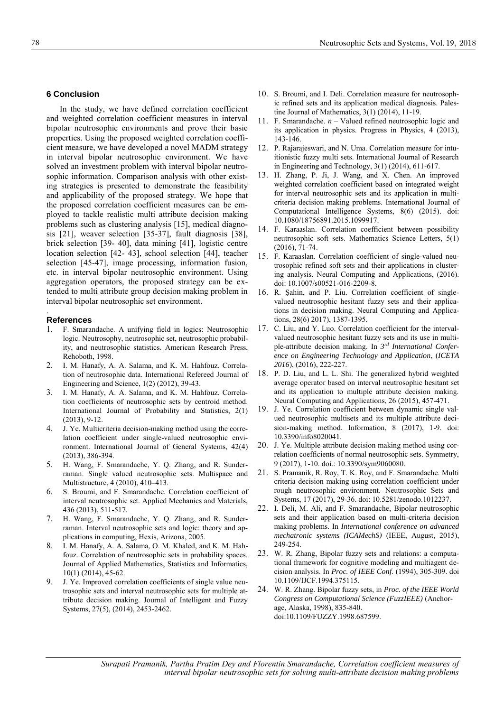## **6 Conclusion**

In the study, we have defined correlation coefficient and weighted correlation coefficient measures in interval bipolar neutrosophic environments and prove their basic properties. Using the proposed weighted correlation coefficient measure, we have developed a novel MADM strategy in interval bipolar neutrosophic environment. We have solved an investment problem with interval bipolar neutrosophic information. Comparison analysis with other existing strategies is presented to demonstrate the feasibility and applicability of the proposed strategy. We hope that the proposed correlation coefficient measures can be employed to tackle realistic multi attribute decision making problems such as clustering analysis [15], medical diagnosis [21], weaver selection [35-37], fault diagnosis [38], brick selection [39- 40], data mining [41], logistic centre location selection [42- 43], school selection [44], teacher selection [45-47], image processing, information fusion, etc. in interval bipolar neutrosophic environment. Using aggregation operators, the proposed strategy can be extended to multi attribute group decision making problem in interval bipolar neutrosophic set environment.

## **References**

.

- 1. F. Smarandache. A unifying field in logics: Neutrosophic logic. Neutrosophy, neutrosophic set, neutrosophic probability, and neutrosophic statistics. American Research Press, Rehoboth, 1998.
- 2. I. M. Hanafy, A. A. Salama, and K. M. Hahfouz. Correlation of neutrosophic data. International Refereed Journal of Engineering and Science, 1(2) (2012), 39-43.
- 3. I. M. Hanafy, A. A. Salama, and K. M. Hahfouz. Correlation coefficients of neutrosophic sets by centroid method. International Journal of Probability and Statistics, 2(1) (2013), 9-12.
- 4. J. Ye. Multicriteria decision-making method using the correlation coefficient under single-valued neutrosophic environment. International Journal of General Systems, 42(4) (2013), 386-394.
- 5. H. Wang, F. Smarandache, Y. Q. Zhang, and R. Sunderraman. Single valued neutrosophic sets. Multispace and Multistructure, 4 (2010), 410–413.
- 6. S. Broumi, and F. Smarandache. Correlation coefficient of interval neutrosophic set. Applied Mechanics and Materials, 436 (2013), 511-517.
- 7. H. Wang, F. Smarandache, Y. Q. Zhang, and R. Sunderraman. Interval neutrosophic sets and logic: theory and applications in computing, Hexis, Arizona, 2005.
- 8. I. M. Hanafy, A. A. Salama, O. M. Khaled, and K. M. Hahfouz. Correlation of neutrosophic sets in probability spaces. Journal of Applied Mathematics, Statistics and Informatics, 10(1) (2014), 45-62.
- 9. J. Ye. Improved correlation coefficients of single value neutrosophic sets and interval neutrosophic sets for multiple attribute decision making. Journal of Intelligent and Fuzzy Systems, 27(5), (2014), 2453-2462.
- 10. S. Broumi, and I. Deli. Correlation measure for neutrosophic refined sets and its application medical diagnosis. Palestine Journal of Mathematics, 3(1) (2014), 11-19.
- 11. F. Smarandache. *n* Valued refined neutrosophic logic and its application in physics. Progress in Physics, 4 (2013), 143-146.
- 12. P. Rajarajeswari, and N. Uma. Correlation measure for intuitionistic fuzzy multi sets. International Journal of Research in Engineering and Technology, 3(1) (2014), 611-617.
- 13. H. Zhang, P. Ji, J. Wang, and X. Chen. An improved weighted correlation coefficient based on integrated weight for interval neutrosophic sets and its application in multicriteria decision making problems. International Journal of Computational Intelligence Systems, 8(6) (2015). doi: 10.1080/18756891.2015.1099917.
- 14. F. Karaaslan. Correlation coefficient between possibility neutrosophic soft sets. Mathematics Science Letters, 5(1) (2016), 71-74.
- 15. F. Karaaslan. Correlation coefficient of single-valued neutrosophic refined soft sets and their applications in clustering analysis. Neural Computing and Applications, (2016). doi: 10.1007/s00521-016-2209-8.
- 16. R. Şahin, and P. Liu. Correlation coefficient of singlevalued neutrosophic hesitant fuzzy sets and their applications in decision making. Neural Computing and Applications, 28(6) 2017), 1387-1395.
- 17. C. Liu, and Y. Luo. Correlation coefficient for the intervalvalued neutrosophic hesitant fuzzy sets and its use in multiple-attribute decision making. In *3 rd International Conference on Engineering Technology and Application*, (*ICETA 2016*), (2016), 222-227.
- 18. P. D. Liu, and L. L. Shi. The generalized hybrid weighted average operator based on interval neutrosophic hesitant set and its application to multiple attribute decision making. Neural Computing and Applications, 26 (2015), 457-471.
- 19. J. Ye. Correlation coefficient between dynamic single valued neutrosophic multisets and its multiple attribute decision-making method. Information, 8 (2017), 1-9. doi: 10.3390/info8020041.
- 20. J. Ye. Multiple attribute decision making method using correlation coefficients of normal neutrosophic sets. Symmetry, 9 (2017), 1-10. doi.: 10.3390/sym9060080.
- 21. S. Pramanik, R. Roy, T. K. Roy, and F. Smarandache. Multi criteria decision making using correlation coefficient under rough neutrosophic environment. Neutrosophic Sets and Systems, 17 (2017), 29-36. doi: 10.5281/zenodo.1012237.
- 22. I. Deli, M. Ali, and F. Smarandache, Bipolar neutrosophic sets and their application based on multi-criteria decision making problems. In *International conference on advanced mechatronic systems (ICAMechS)* (IEEE, August, 2015), 249-254.
- 23. W. R. Zhang, Bipolar fuzzy sets and relations: a computational framework for cognitive modeling and multiagent decision analysis. In *Proc. of IEEE Conf*. (1994), 305-309. doi [10.1109/IJCF.1994.375115.](https://doi.org/10.1109/IJCF.1994.375115)
- 24. W. R. Zhang. Bipolar fuzzy sets, in *Proc. of the IEEE World Congress on Computational Science (FuzzIEEE)* (Anchorage, Alaska, 1998), 835-840. doi[:10.1109/FUZZY.1998.687599.](https://doi.org/10.1109/FUZZY.1998.687599)